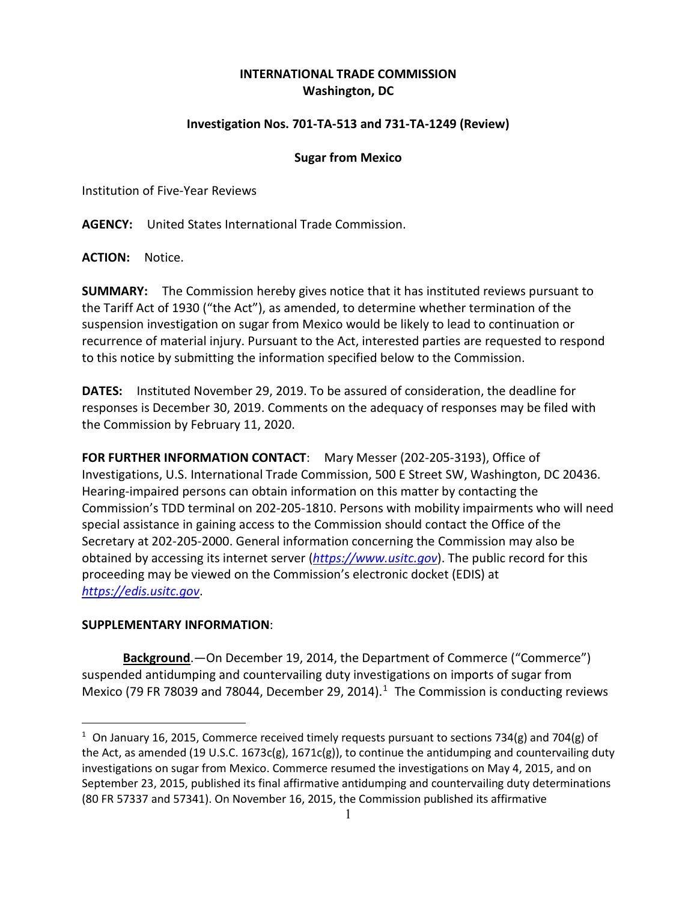## **INTERNATIONAL TRADE COMMISSION Washington, DC**

## **Investigation Nos. 701-TA-513 and 731-TA-1249 (Review)**

## **Sugar from Mexico**

Institution of Five-Year Reviews

**AGENCY:** United States International Trade Commission.

**ACTION:** Notice.

**SUMMARY:** The Commission hereby gives notice that it has instituted reviews pursuant to the Tariff Act of 1930 ("the Act"), as amended, to determine whether termination of the suspension investigation on sugar from Mexico would be likely to lead to continuation or recurrence of material injury. Pursuant to the Act, interested parties are requested to respond to this notice by submitting the information specified below to the Commission.

**DATES:** Instituted November 29, 2019. To be assured of consideration, the deadline for responses is December 30, 2019. Comments on the adequacy of responses may be filed with the Commission by February 11, 2020.

**FOR FURTHER INFORMATION CONTACT**: Mary Messer (202-205-3193), Office of Investigations, U.S. International Trade Commission, 500 E Street SW, Washington, DC 20436. Hearing-impaired persons can obtain information on this matter by contacting the Commission's TDD terminal on 202-205-1810. Persons with mobility impairments who will need special assistance in gaining access to the Commission should contact the Office of the Secretary at 202-205-2000. General information concerning the Commission may also be obtained by accessing its internet server (*[https://www.usitc.gov](https://www.usitc.gov/)*). The public record for this proceeding may be viewed on the Commission's electronic docket (EDIS) at *[https://edis.usitc.gov](https://edis.usitc.gov/)*.

## **SUPPLEMENTARY INFORMATION**:

 $\overline{a}$ 

**Background**.—On December 19, 2014, the Department of Commerce ("Commerce") suspended antidumping and countervailing duty investigations on imports of sugar from Mexico (79 FR 78039 and 78044, December 29, 2014).<sup>1</sup> The Commission is conducting reviews

<span id="page-0-0"></span><sup>&</sup>lt;sup>1</sup> On January 16, 2015, Commerce received timely requests pursuant to sections 734(g) and 704(g) of the Act, as amended (19 U.S.C. 1673c(g), 1671c(g)), to continue the antidumping and countervailing duty investigations on sugar from Mexico. Commerce resumed the investigations on May 4, 2015, and on September 23, 2015, published its final affirmative antidumping and countervailing duty determinations (80 FR 57337 and 57341). On November 16, 2015, the Commission published its affirmative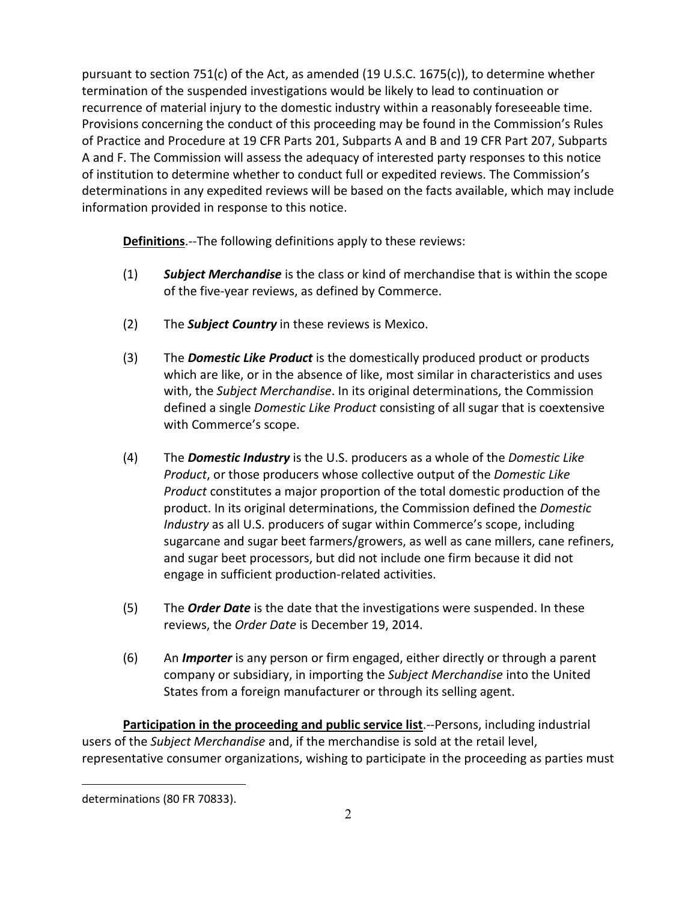pursuant to section 751(c) of the Act, as amended (19 U.S.C. 1675(c)), to determine whether termination of the suspended investigations would be likely to lead to continuation or recurrence of material injury to the domestic industry within a reasonably foreseeable time. Provisions concerning the conduct of this proceeding may be found in the Commission's Rules of Practice and Procedure at 19 CFR Parts 201, Subparts A and B and 19 CFR Part 207, Subparts A and F. The Commission will assess the adequacy of interested party responses to this notice of institution to determine whether to conduct full or expedited reviews. The Commission's determinations in any expedited reviews will be based on the facts available, which may include information provided in response to this notice.

**Definitions**.--The following definitions apply to these reviews:

- (1) *Subject Merchandise* is the class or kind of merchandise that is within the scope of the five-year reviews, as defined by Commerce.
- (2) The *Subject Country* in these reviews is Mexico.
- (3) The *Domestic Like Product* is the domestically produced product or products which are like, or in the absence of like, most similar in characteristics and uses with, the *Subject Merchandise*. In its original determinations, the Commission defined a single *Domestic Like Product* consisting of all sugar that is coextensive with Commerce's scope.
- (4) The *Domestic Industry* is the U.S. producers as a whole of the *Domestic Like Product*, or those producers whose collective output of the *Domestic Like Product* constitutes a major proportion of the total domestic production of the product. In its original determinations, the Commission defined the *Domestic Industry* as all U.S. producers of sugar within Commerce's scope, including sugarcane and sugar beet farmers/growers, as well as cane millers, cane refiners, and sugar beet processors, but did not include one firm because it did not engage in sufficient production-related activities.
- (5) The *Order Date* is the date that the investigations were suspended. In these reviews, the *Order Date* is December 19, 2014.
- (6) An *Importer* is any person or firm engaged, either directly or through a parent company or subsidiary, in importing the *Subject Merchandise* into the United States from a foreign manufacturer or through its selling agent.

**Participation in the proceeding and public service list**.--Persons, including industrial users of the *Subject Merchandise* and, if the merchandise is sold at the retail level, representative consumer organizations, wishing to participate in the proceeding as parties must

 $\overline{a}$ 

determinations (80 FR 70833).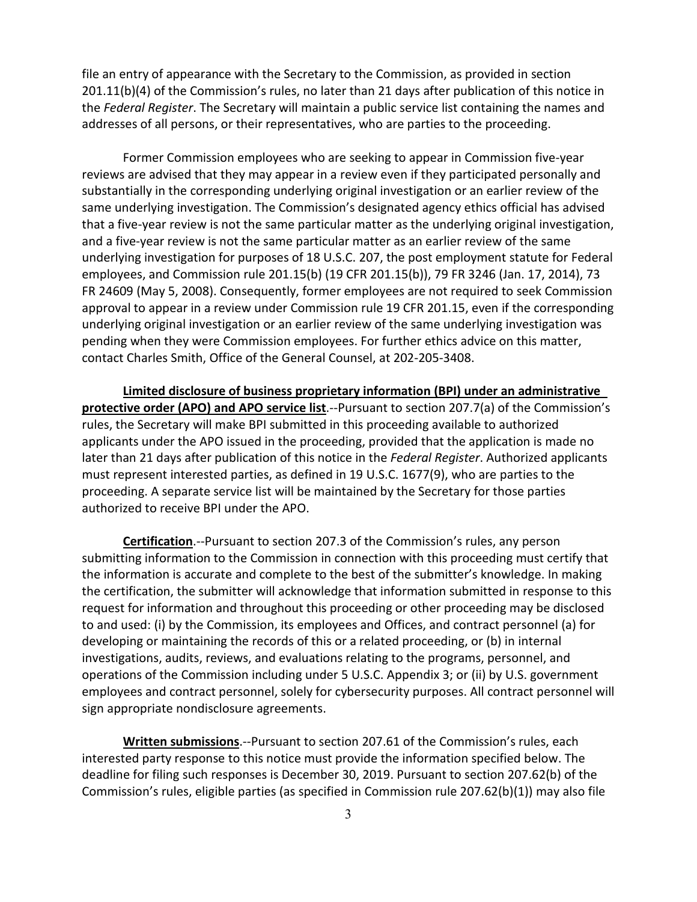file an entry of appearance with the Secretary to the Commission, as provided in section 201.11(b)(4) of the Commission's rules, no later than 21 days after publication of this notice in the *Federal Register*. The Secretary will maintain a public service list containing the names and addresses of all persons, or their representatives, who are parties to the proceeding.

Former Commission employees who are seeking to appear in Commission five-year reviews are advised that they may appear in a review even if they participated personally and substantially in the corresponding underlying original investigation or an earlier review of the same underlying investigation. The Commission's designated agency ethics official has advised that a five-year review is not the same particular matter as the underlying original investigation, and a five-year review is not the same particular matter as an earlier review of the same underlying investigation for purposes of 18 U.S.C. 207, the post employment statute for Federal employees, and Commission rule 201.15(b) (19 CFR 201.15(b)), 79 FR 3246 (Jan. 17, 2014), 73 FR 24609 (May 5, 2008). Consequently, former employees are not required to seek Commission approval to appear in a review under Commission rule 19 CFR 201.15, even if the corresponding underlying original investigation or an earlier review of the same underlying investigation was pending when they were Commission employees. For further ethics advice on this matter, contact Charles Smith, Office of the General Counsel, at 202-205-3408.

**Limited disclosure of business proprietary information (BPI) under an administrative protective order (APO) and APO service list**.--Pursuant to section 207.7(a) of the Commission's rules, the Secretary will make BPI submitted in this proceeding available to authorized applicants under the APO issued in the proceeding, provided that the application is made no later than 21 days after publication of this notice in the *Federal Register*. Authorized applicants must represent interested parties, as defined in 19 U.S.C. 1677(9), who are parties to the proceeding. A separate service list will be maintained by the Secretary for those parties authorized to receive BPI under the APO.

**Certification**.--Pursuant to section 207.3 of the Commission's rules, any person submitting information to the Commission in connection with this proceeding must certify that the information is accurate and complete to the best of the submitter's knowledge. In making the certification, the submitter will acknowledge that information submitted in response to this request for information and throughout this proceeding or other proceeding may be disclosed to and used: (i) by the Commission, its employees and Offices, and contract personnel (a) for developing or maintaining the records of this or a related proceeding, or (b) in internal investigations, audits, reviews, and evaluations relating to the programs, personnel, and operations of the Commission including under 5 U.S.C. Appendix 3; or (ii) by U.S. government employees and contract personnel, solely for cybersecurity purposes. All contract personnel will sign appropriate nondisclosure agreements.

**Written submissions**.--Pursuant to section 207.61 of the Commission's rules, each interested party response to this notice must provide the information specified below. The deadline for filing such responses is December 30, 2019. Pursuant to section 207.62(b) of the Commission's rules, eligible parties (as specified in Commission rule 207.62(b)(1)) may also file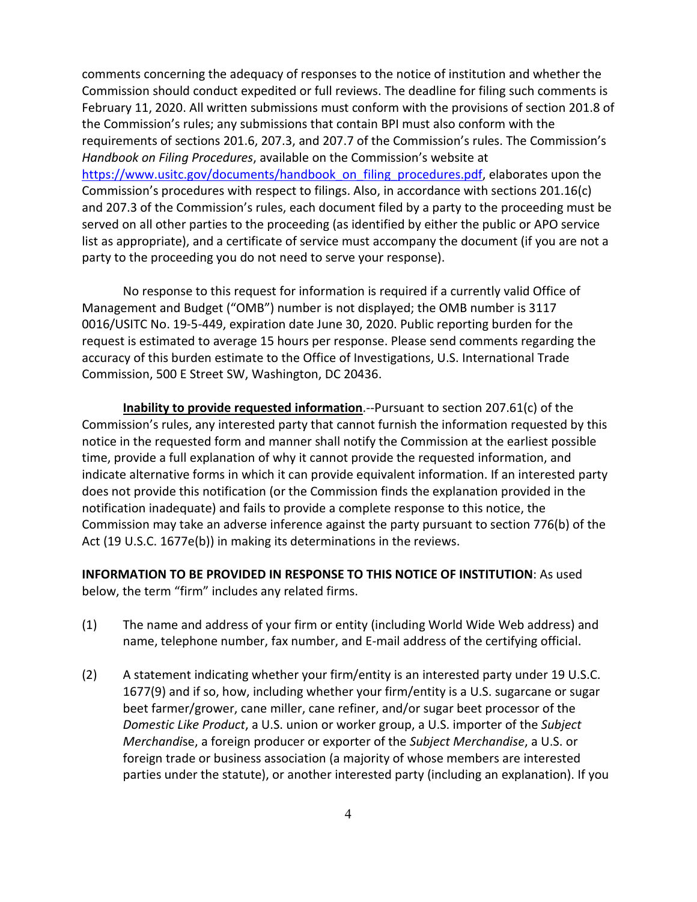comments concerning the adequacy of responses to the notice of institution and whether the Commission should conduct expedited or full reviews. The deadline for filing such comments is February 11, 2020. All written submissions must conform with the provisions of section 201.8 of the Commission's rules; any submissions that contain BPI must also conform with the requirements of sections 201.6, 207.3, and 207.7 of the Commission's rules. The Commission's *Handbook on Filing Procedures*, available on the Commission's website at [https://www.usitc.gov/documents/handbook\\_on\\_filing\\_procedures.pdf,](https://www.usitc.gov/documents/handbook_on_filing_procedures.pdf) elaborates upon the Commission's procedures with respect to filings. Also, in accordance with sections 201.16(c) and 207.3 of the Commission's rules, each document filed by a party to the proceeding must be served on all other parties to the proceeding (as identified by either the public or APO service list as appropriate), and a certificate of service must accompany the document (if you are not a party to the proceeding you do not need to serve your response).

No response to this request for information is required if a currently valid Office of Management and Budget ("OMB") number is not displayed; the OMB number is 3117 0016/USITC No. 19-5-449, expiration date June 30, 2020. Public reporting burden for the request is estimated to average 15 hours per response. Please send comments regarding the accuracy of this burden estimate to the Office of Investigations, U.S. International Trade Commission, 500 E Street SW, Washington, DC 20436.

**Inability to provide requested information**.--Pursuant to section 207.61(c) of the Commission's rules, any interested party that cannot furnish the information requested by this notice in the requested form and manner shall notify the Commission at the earliest possible time, provide a full explanation of why it cannot provide the requested information, and indicate alternative forms in which it can provide equivalent information. If an interested party does not provide this notification (or the Commission finds the explanation provided in the notification inadequate) and fails to provide a complete response to this notice, the Commission may take an adverse inference against the party pursuant to section 776(b) of the Act (19 U.S.C. 1677e(b)) in making its determinations in the reviews.

**INFORMATION TO BE PROVIDED IN RESPONSE TO THIS NOTICE OF INSTITUTION**: As used below, the term "firm" includes any related firms.

- (1) The name and address of your firm or entity (including World Wide Web address) and name, telephone number, fax number, and E-mail address of the certifying official.
- (2) A statement indicating whether your firm/entity is an interested party under 19 U.S.C. 1677(9) and if so, how, including whether your firm/entity is a U.S. sugarcane or sugar beet farmer/grower, cane miller, cane refiner, and/or sugar beet processor of the *Domestic Like Product*, a U.S. union or worker group, a U.S. importer of the *Subject Merchandi*se, a foreign producer or exporter of the *Subject Merchandise*, a U.S. or foreign trade or business association (a majority of whose members are interested parties under the statute), or another interested party (including an explanation). If you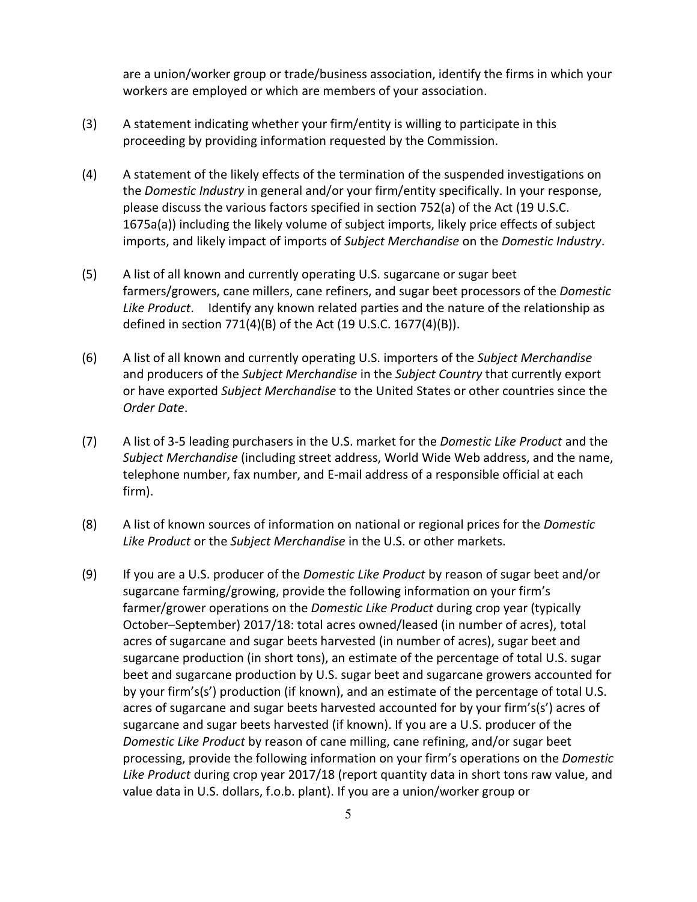are a union/worker group or trade/business association, identify the firms in which your workers are employed or which are members of your association.

- (3) A statement indicating whether your firm/entity is willing to participate in this proceeding by providing information requested by the Commission.
- (4) A statement of the likely effects of the termination of the suspended investigations on the *Domestic Industry* in general and/or your firm/entity specifically. In your response, please discuss the various factors specified in section 752(a) of the Act (19 U.S.C. 1675a(a)) including the likely volume of subject imports, likely price effects of subject imports, and likely impact of imports of *Subject Merchandise* on the *Domestic Industry*.
- (5) A list of all known and currently operating U.S. sugarcane or sugar beet farmers/growers, cane millers, cane refiners, and sugar beet processors of the *Domestic Like Product*. Identify any known related parties and the nature of the relationship as defined in section 771(4)(B) of the Act (19 U.S.C. 1677(4)(B)).
- (6) A list of all known and currently operating U.S. importers of the *Subject Merchandise* and producers of the *Subject Merchandise* in the *Subject Country* that currently export or have exported *Subject Merchandise* to the United States or other countries since the *Order Date*.
- (7) A list of 3-5 leading purchasers in the U.S. market for the *Domestic Like Product* and the *Subject Merchandise* (including street address, World Wide Web address, and the name, telephone number, fax number, and E-mail address of a responsible official at each firm).
- (8) A list of known sources of information on national or regional prices for the *Domestic Like Product* or the *Subject Merchandise* in the U.S. or other markets.
- (9) If you are a U.S. producer of the *Domestic Like Product* by reason of sugar beet and/or sugarcane farming/growing, provide the following information on your firm's farmer/grower operations on the *Domestic Like Product* during crop year (typically October–September) 2017/18: total acres owned/leased (in number of acres), total acres of sugarcane and sugar beets harvested (in number of acres), sugar beet and sugarcane production (in short tons), an estimate of the percentage of total U.S. sugar beet and sugarcane production by U.S. sugar beet and sugarcane growers accounted for by your firm's(s') production (if known), and an estimate of the percentage of total U.S. acres of sugarcane and sugar beets harvested accounted for by your firm's(s') acres of sugarcane and sugar beets harvested (if known). If you are a U.S. producer of the *Domestic Like Product* by reason of cane milling, cane refining, and/or sugar beet processing, provide the following information on your firm's operations on the *Domestic Like Product* during crop year 2017/18 (report quantity data in short tons raw value, and value data in U.S. dollars, f.o.b. plant). If you are a union/worker group or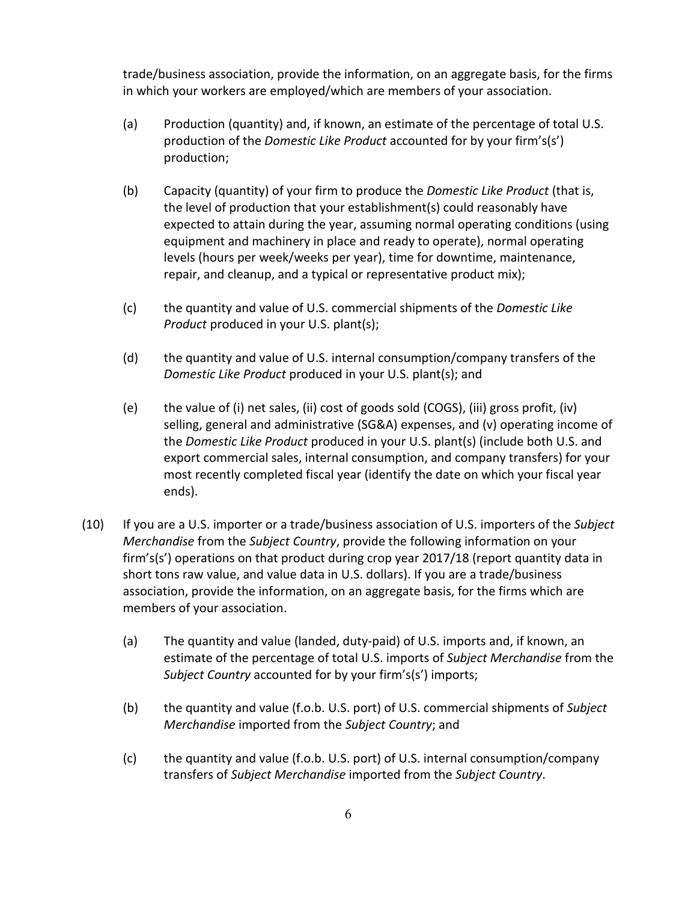trade/business association, provide the information, on an aggregate basis, for the firms in which your workers are employed/which are members of your association.

- (a) Production (quantity) and, if known, an estimate of the percentage of total U.S. production of the *Domestic Like Product* accounted for by your firm's(s') production;
- (b) Capacity (quantity) of your firm to produce the *Domestic Like Product* (that is, the level of production that your establishment(s) could reasonably have expected to attain during the year, assuming normal operating conditions (using equipment and machinery in place and ready to operate), normal operating levels (hours per week/weeks per year), time for downtime, maintenance, repair, and cleanup, and a typical or representative product mix);
- (c) the quantity and value of U.S. commercial shipments of the *Domestic Like Product* produced in your U.S. plant(s);
- (d) the quantity and value of U.S. internal consumption/company transfers of the *Domestic Like Product* produced in your U.S. plant(s); and
- (e) the value of (i) net sales, (ii) cost of goods sold (COGS), (iii) gross profit, (iv) selling, general and administrative (SG&A) expenses, and (v) operating income of the *Domestic Like Product* produced in your U.S. plant(s) (include both U.S. and export commercial sales, internal consumption, and company transfers) for your most recently completed fiscal year (identify the date on which your fiscal year ends).
- (10) If you are a U.S. importer or a trade/business association of U.S. importers of the *Subject Merchandise* from the *Subject Country*, provide the following information on your firm's(s') operations on that product during crop year 2017/18 (report quantity data in short tons raw value, and value data in U.S. dollars). If you are a trade/business association, provide the information, on an aggregate basis, for the firms which are members of your association.
	- (a) The quantity and value (landed, duty-paid) of U.S. imports and, if known, an estimate of the percentage of total U.S. imports of *Subject Merchandise* from the *Subject Country* accounted for by your firm's(s') imports;
	- (b) the quantity and value (f.o.b. U.S. port) of U.S. commercial shipments of *Subject Merchandise* imported from the *Subject Country*; and
	- (c) the quantity and value (f.o.b. U.S. port) of U.S. internal consumption/company transfers of *Subject Merchandise* imported from the *Subject Country*.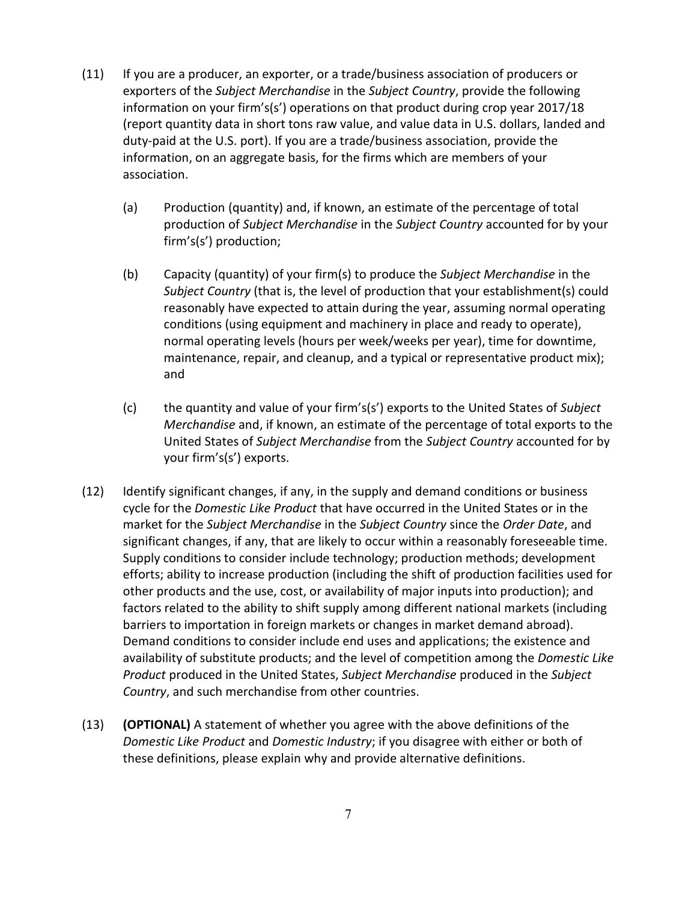- (11) If you are a producer, an exporter, or a trade/business association of producers or exporters of the *Subject Merchandise* in the *Subject Country*, provide the following information on your firm's(s') operations on that product during crop year 2017/18 (report quantity data in short tons raw value, and value data in U.S. dollars, landed and duty-paid at the U.S. port). If you are a trade/business association, provide the information, on an aggregate basis, for the firms which are members of your association.
	- (a) Production (quantity) and, if known, an estimate of the percentage of total production of *Subject Merchandise* in the *Subject Country* accounted for by your firm's(s') production;
	- (b) Capacity (quantity) of your firm(s) to produce the *Subject Merchandise* in the *Subject Country* (that is, the level of production that your establishment(s) could reasonably have expected to attain during the year, assuming normal operating conditions (using equipment and machinery in place and ready to operate), normal operating levels (hours per week/weeks per year), time for downtime, maintenance, repair, and cleanup, and a typical or representative product mix); and
	- (c) the quantity and value of your firm's(s') exports to the United States of *Subject Merchandise* and, if known, an estimate of the percentage of total exports to the United States of *Subject Merchandise* from the *Subject Country* accounted for by your firm's(s') exports.
- (12) Identify significant changes, if any, in the supply and demand conditions or business cycle for the *Domestic Like Product* that have occurred in the United States or in the market for the *Subject Merchandise* in the *Subject Country* since the *Order Date*, and significant changes, if any, that are likely to occur within a reasonably foreseeable time. Supply conditions to consider include technology; production methods; development efforts; ability to increase production (including the shift of production facilities used for other products and the use, cost, or availability of major inputs into production); and factors related to the ability to shift supply among different national markets (including barriers to importation in foreign markets or changes in market demand abroad). Demand conditions to consider include end uses and applications; the existence and availability of substitute products; and the level of competition among the *Domestic Like Product* produced in the United States, *Subject Merchandise* produced in the *Subject Country*, and such merchandise from other countries.
- (13) **(OPTIONAL)** A statement of whether you agree with the above definitions of the *Domestic Like Product* and *Domestic Industry*; if you disagree with either or both of these definitions, please explain why and provide alternative definitions.